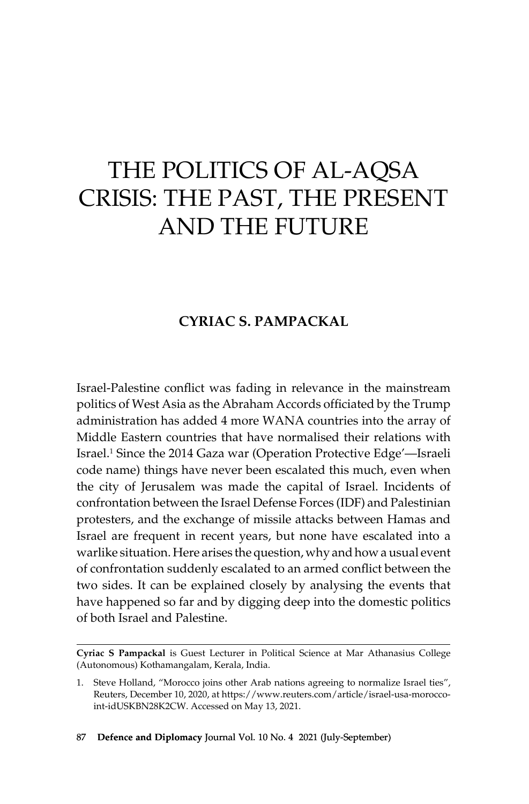# THE POLITICS OF AL-AQSA Crisis: The Past, the Present and the Future

# **Cyriac S. Pampackal**

Israel-Palestine conflict was fading in relevance in the mainstream politics of West Asia as the Abraham Accords officiated by the Trump administration has added 4 more WANA countries into the array of Middle Eastern countries that have normalised their relations with Israel.1 Since the 2014 Gaza war (Operation Protective Edge'—Israeli code name) things have never been escalated this much, even when the city of Jerusalem was made the capital of Israel. Incidents of confrontation between the Israel Defense Forces (IDF) and Palestinian protesters, and the exchange of missile attacks between Hamas and Israel are frequent in recent years, but none have escalated into a warlike situation. Here arises the question, why and how a usual event of confrontation suddenly escalated to an armed conflict between the two sides. It can be explained closely by analysing the events that have happened so far and by digging deep into the domestic politics of both Israel and Palestine.

**Cyriac S Pampackal** is Guest Lecturer in Political Science at Mar Athanasius College (Autonomous) Kothamangalam, Kerala, India.

<sup>1.</sup> Steve Holland, "Morocco joins other Arab nations agreeing to normalize Israel ties", Reuters, December 10, 2020, at https://www.reuters.com/article/israel-usa-moroccoint-idUSKBN28K2CW. Accessed on May 13, 2021.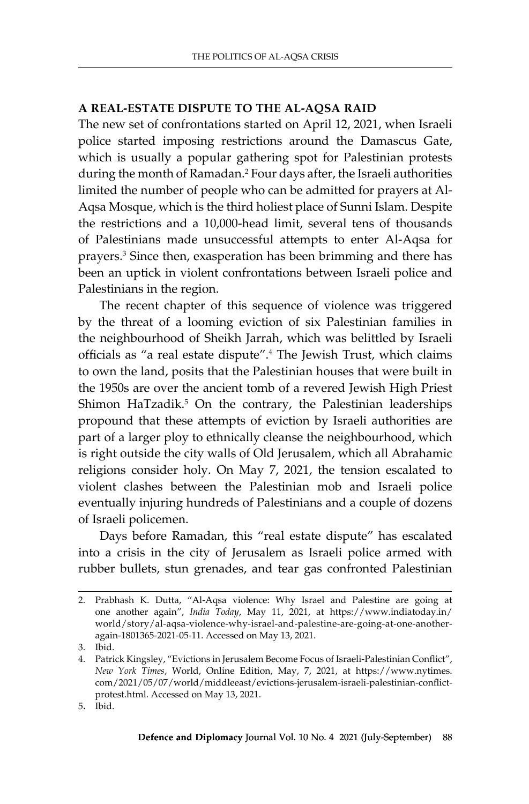#### **A Real-Estate Dispute to the Al-Aqsa Raid**

The new set of confrontations started on April 12, 2021, when Israeli police started imposing restrictions around the Damascus Gate, which is usually a popular gathering spot for Palestinian protests during the month of Ramadan.<sup>2</sup> Four days after, the Israeli authorities limited the number of people who can be admitted for prayers at Al-Aqsa Mosque, which is the third holiest place of Sunni Islam. Despite the restrictions and a 10,000-head limit, several tens of thousands of Palestinians made unsuccessful attempts to enter Al-Aqsa for prayers.<sup>3</sup> Since then, exasperation has been brimming and there has been an uptick in violent confrontations between Israeli police and Palestinians in the region.

The recent chapter of this sequence of violence was triggered by the threat of a looming eviction of six Palestinian families in the neighbourhood of Sheikh Jarrah, which was belittled by Israeli officials as "a real estate dispute".<sup>4</sup> The Jewish Trust, which claims to own the land, posits that the Palestinian houses that were built in the 1950s are over the ancient tomb of a revered Jewish High Priest Shimon HaTzadik.<sup>5</sup> On the contrary, the Palestinian leaderships propound that these attempts of eviction by Israeli authorities are part of a larger ploy to ethnically cleanse the neighbourhood, which is right outside the city walls of Old Jerusalem, which all Abrahamic religions consider holy. On May 7, 2021, the tension escalated to violent clashes between the Palestinian mob and Israeli police eventually injuring hundreds of Palestinians and a couple of dozens of Israeli policemen.

Days before Ramadan, this "real estate dispute" has escalated into a crisis in the city of Jerusalem as Israeli police armed with rubber bullets, stun grenades, and tear gas confronted Palestinian

<sup>2.</sup> Prabhash K. Dutta, "Al-Aqsa violence: Why Israel and Palestine are going at one another again", *India Today*, May 11, 2021, at https://www.indiatoday.in/ world/story/al-aqsa-violence-why-israel-and-palestine-are-going-at-one-anotheragain-1801365-2021-05-11. Accessed on May 13, 2021.

<sup>3.</sup> Ibid.

<sup>4.</sup> Patrick Kingsley, "Evictions in Jerusalem Become Focus of Israeli-Palestinian Conflict", *New York Times*, World, Online Edition, May, 7, 2021, at https://www.nytimes. com/2021/05/07/world/middleeast/evictions-jerusalem-israeli-palestinian-conflictprotest.html. Accessed on May 13, 2021.

<sup>5</sup>. Ibid.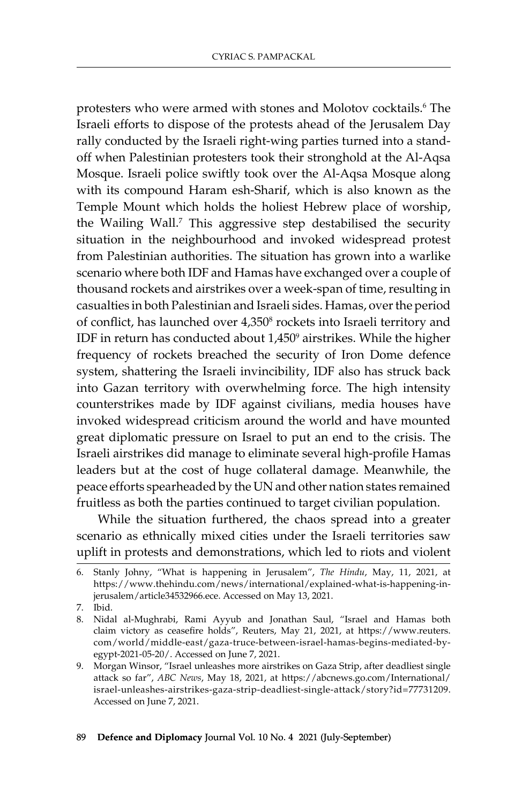protesters who were armed with stones and Molotov cocktails.<sup>6</sup> The Israeli efforts to dispose of the protests ahead of the Jerusalem Day rally conducted by the Israeli right-wing parties turned into a standoff when Palestinian protesters took their stronghold at the Al-Aqsa Mosque. Israeli police swiftly took over the Al-Aqsa Mosque along with its compound Haram esh-Sharif, which is also known as the Temple Mount which holds the holiest Hebrew place of worship, the Wailing Wall.<sup>7</sup> This aggressive step destabilised the security situation in the neighbourhood and invoked widespread protest from Palestinian authorities. The situation has grown into a warlike scenario where both IDF and Hamas have exchanged over a couple of thousand rockets and airstrikes over a week-span of time, resulting in casualties in both Palestinian and Israeli sides. Hamas, over the period of conflict, has launched over 4,350<sup>8</sup> rockets into Israeli territory and IDF in return has conducted about  $1,450^{\circ}$  airstrikes. While the higher frequency of rockets breached the security of Iron Dome defence system, shattering the Israeli invincibility, IDF also has struck back into Gazan territory with overwhelming force. The high intensity counterstrikes made by IDF against civilians, media houses have invoked widespread criticism around the world and have mounted great diplomatic pressure on Israel to put an end to the crisis. The Israeli airstrikes did manage to eliminate several high-profile Hamas leaders but at the cost of huge collateral damage. Meanwhile, the peace efforts spearheaded by the UN and other nation states remained fruitless as both the parties continued to target civilian population.

While the situation furthered, the chaos spread into a greater scenario as ethnically mixed cities under the Israeli territories saw uplift in protests and demonstrations, which led to riots and violent

7. Ibid.

<sup>6.</sup> Stanly Johny, "What is happening in Jerusalem", *The Hindu*, May, 11, 2021, at https://www.thehindu.com/news/international/explained-what-is-happening-injerusalem/article34532966.ece. Accessed on May 13, 2021.

<sup>8.</sup> Nidal al-Mughrabi, Rami Ayyub and Jonathan Saul, "Israel and Hamas both claim victory as ceasefire holds", Reuters, May 21, 2021, at https://www.reuters. com/world/middle-east/gaza-truce-between-israel-hamas-begins-mediated-byegypt-2021-05-20/. Accessed on June 7, 2021.

<sup>9.</sup> Morgan Winsor, "Israel unleashes more airstrikes on Gaza Strip, after deadliest single attack so far", *ABC News*, May 18, 2021, at https://abcnews.go.com/International/ israel-unleashes-airstrikes-gaza-strip-deadliest-single-attack/story?id=77731209. Accessed on June 7, 2021.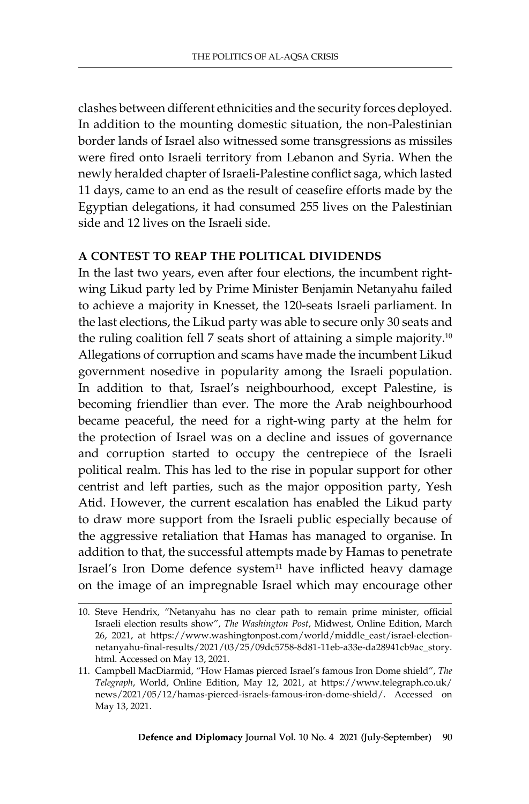clashes between different ethnicities and the security forces deployed. In addition to the mounting domestic situation, the non-Palestinian border lands of Israel also witnessed some transgressions as missiles were fired onto Israeli territory from Lebanon and Syria. When the newly heralded chapter of Israeli-Palestine conflict saga, which lasted 11 days, came to an end as the result of ceasefire efforts made by the Egyptian delegations, it had consumed 255 lives on the Palestinian side and 12 lives on the Israeli side.

# **A Contest to Reap the Political Dividends**

In the last two years, even after four elections, the incumbent rightwing Likud party led by Prime Minister Benjamin Netanyahu failed to achieve a majority in Knesset, the 120-seats Israeli parliament. In the last elections, the Likud party was able to secure only 30 seats and the ruling coalition fell 7 seats short of attaining a simple majority.<sup>10</sup> Allegations of corruption and scams have made the incumbent Likud government nosedive in popularity among the Israeli population. In addition to that, Israel's neighbourhood, except Palestine, is becoming friendlier than ever. The more the Arab neighbourhood became peaceful, the need for a right-wing party at the helm for the protection of Israel was on a decline and issues of governance and corruption started to occupy the centrepiece of the Israeli political realm. This has led to the rise in popular support for other centrist and left parties, such as the major opposition party, Yesh Atid. However, the current escalation has enabled the Likud party to draw more support from the Israeli public especially because of the aggressive retaliation that Hamas has managed to organise. In addition to that, the successful attempts made by Hamas to penetrate Israel's Iron Dome defence system<sup>11</sup> have inflicted heavy damage on the image of an impregnable Israel which may encourage other

<sup>10.</sup> Steve Hendrix, "Netanyahu has no clear path to remain prime minister, official Israeli election results show", *The Washington Post*, Midwest, Online Edition, March 26, 2021, at https://www.washingtonpost.com/world/middle\_east/israel-electionnetanyahu-final-results/2021/03/25/09dc5758-8d81-11eb-a33e-da28941cb9ac\_story. html. Accessed on May 13, 2021.

<sup>11.</sup> Campbell MacDiarmid, "How Hamas pierced Israel's famous Iron Dome shield", *The Telegraph*, World, Online Edition, May 12, 2021, at https://www.telegraph.co.uk/ news/2021/05/12/hamas-pierced-israels-famous-iron-dome-shield/. Accessed on May 13, 2021.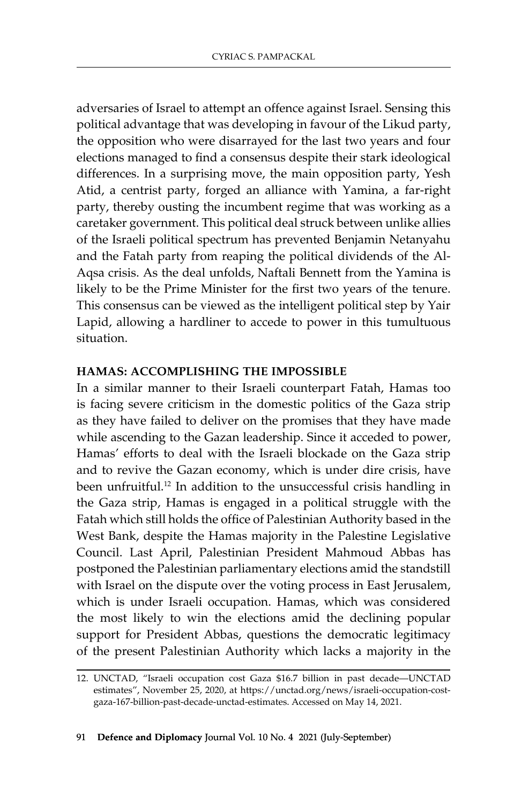adversaries of Israel to attempt an offence against Israel. Sensing this political advantage that was developing in favour of the Likud party, the opposition who were disarrayed for the last two years and four elections managed to find a consensus despite their stark ideological differences. In a surprising move, the main opposition party, Yesh Atid, a centrist party, forged an alliance with Yamina, a far-right party, thereby ousting the incumbent regime that was working as a caretaker government. This political deal struck between unlike allies of the Israeli political spectrum has prevented Benjamin Netanyahu and the Fatah party from reaping the political dividends of the Al-Aqsa crisis. As the deal unfolds, Naftali Bennett from the Yamina is likely to be the Prime Minister for the first two years of the tenure. This consensus can be viewed as the intelligent political step by Yair Lapid, allowing a hardliner to accede to power in this tumultuous situation.

#### **Hamas: Accomplishing the Impossible**

In a similar manner to their Israeli counterpart Fatah, Hamas too is facing severe criticism in the domestic politics of the Gaza strip as they have failed to deliver on the promises that they have made while ascending to the Gazan leadership. Since it acceded to power, Hamas' efforts to deal with the Israeli blockade on the Gaza strip and to revive the Gazan economy, which is under dire crisis, have been unfruitful.<sup>12</sup> In addition to the unsuccessful crisis handling in the Gaza strip, Hamas is engaged in a political struggle with the Fatah which still holds the office of Palestinian Authority based in the West Bank, despite the Hamas majority in the Palestine Legislative Council. Last April, Palestinian President Mahmoud Abbas has postponed the Palestinian parliamentary elections amid the standstill with Israel on the dispute over the voting process in East Jerusalem, which is under Israeli occupation. Hamas, which was considered the most likely to win the elections amid the declining popular support for President Abbas, questions the democratic legitimacy of the present Palestinian Authority which lacks a majority in the

<sup>12.</sup> UNCTAD, "Israeli occupation cost Gaza \$16.7 billion in past decade—UNCTAD estimates", November 25, 2020, at https://unctad.org/news/israeli-occupation-costgaza-167-billion-past-decade-unctad-estimates. Accessed on May 14, 2021.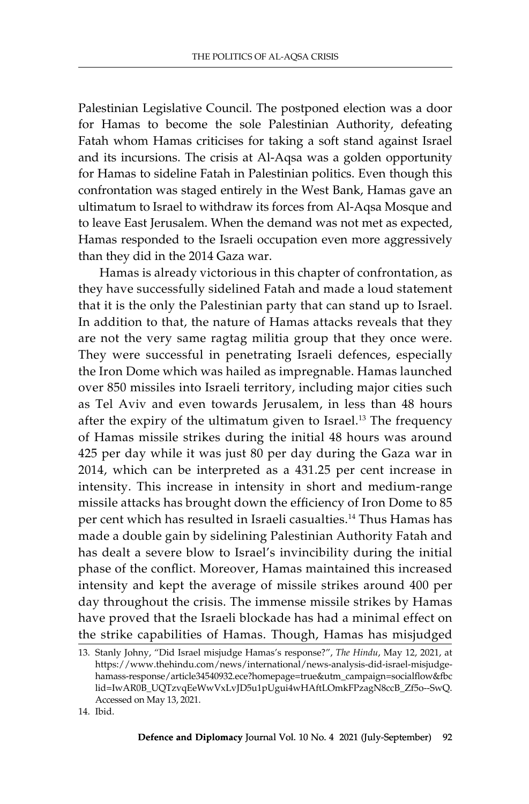Palestinian Legislative Council. The postponed election was a door for Hamas to become the sole Palestinian Authority, defeating Fatah whom Hamas criticises for taking a soft stand against Israel and its incursions. The crisis at Al-Aqsa was a golden opportunity for Hamas to sideline Fatah in Palestinian politics. Even though this confrontation was staged entirely in the West Bank, Hamas gave an ultimatum to Israel to withdraw its forces from Al-Aqsa Mosque and to leave East Jerusalem. When the demand was not met as expected, Hamas responded to the Israeli occupation even more aggressively than they did in the 2014 Gaza war.

Hamas is already victorious in this chapter of confrontation, as they have successfully sidelined Fatah and made a loud statement that it is the only the Palestinian party that can stand up to Israel. In addition to that, the nature of Hamas attacks reveals that they are not the very same ragtag militia group that they once were. They were successful in penetrating Israeli defences, especially the Iron Dome which was hailed as impregnable. Hamas launched over 850 missiles into Israeli territory, including major cities such as Tel Aviv and even towards Jerusalem, in less than 48 hours after the expiry of the ultimatum given to Israel.<sup>13</sup> The frequency of Hamas missile strikes during the initial 48 hours was around 425 per day while it was just 80 per day during the Gaza war in 2014, which can be interpreted as a 431.25 per cent increase in intensity. This increase in intensity in short and medium-range missile attacks has brought down the efficiency of Iron Dome to 85 per cent which has resulted in Israeli casualties.<sup>14</sup> Thus Hamas has made a double gain by sidelining Palestinian Authority Fatah and has dealt a severe blow to Israel's invincibility during the initial phase of the conflict. Moreover, Hamas maintained this increased intensity and kept the average of missile strikes around 400 per day throughout the crisis. The immense missile strikes by Hamas have proved that the Israeli blockade has had a minimal effect on the strike capabilities of Hamas. Though, Hamas has misjudged

<sup>13.</sup> Stanly Johny, "Did Israel misjudge Hamas's response?", *The Hindu*, May 12, 2021, at https://www.thehindu.com/news/international/news-analysis-did-israel-misjudgehamass-response/article34540932.ece?homepage=true&utm\_campaign=socialflow&fbc lid=IwAR0B\_UQTzvqEeWwVxLvJD5u1pUgui4wHAftLOmkFPzagN8ccB\_Zf5o--SwQ. Accessed on May 13, 2021.

<sup>14.</sup> Ibid.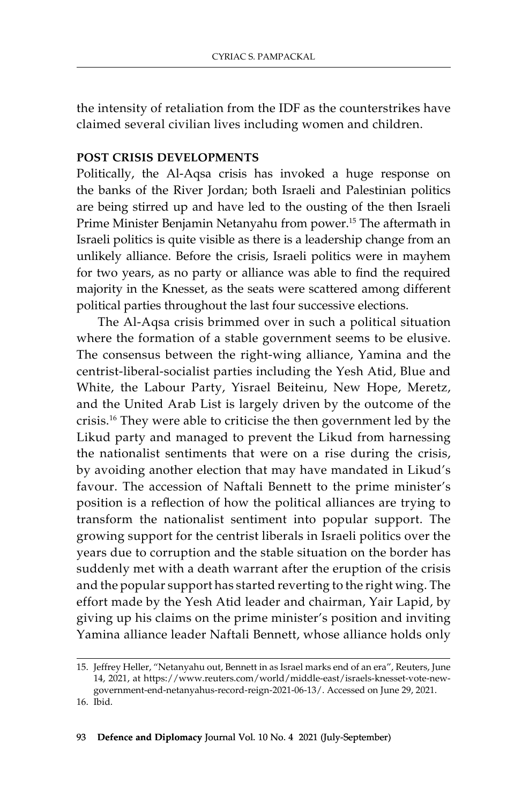the intensity of retaliation from the IDF as the counterstrikes have claimed several civilian lives including women and children.

# **Post Crisis Developments**

Politically, the Al-Aqsa crisis has invoked a huge response on the banks of the River Jordan; both Israeli and Palestinian politics are being stirred up and have led to the ousting of the then Israeli Prime Minister Benjamin Netanyahu from power.15 The aftermath in Israeli politics is quite visible as there is a leadership change from an unlikely alliance. Before the crisis, Israeli politics were in mayhem for two years, as no party or alliance was able to find the required majority in the Knesset, as the seats were scattered among different political parties throughout the last four successive elections.

The Al-Aqsa crisis brimmed over in such a political situation where the formation of a stable government seems to be elusive. The consensus between the right-wing alliance, Yamina and the centrist-liberal-socialist parties including the Yesh Atid, Blue and White, the Labour Party, Yisrael Beiteinu, New Hope, Meretz, and the United Arab List is largely driven by the outcome of the crisis.16 They were able to criticise the then government led by the Likud party and managed to prevent the Likud from harnessing the nationalist sentiments that were on a rise during the crisis, by avoiding another election that may have mandated in Likud's favour. The accession of Naftali Bennett to the prime minister's position is a reflection of how the political alliances are trying to transform the nationalist sentiment into popular support. The growing support for the centrist liberals in Israeli politics over the years due to corruption and the stable situation on the border has suddenly met with a death warrant after the eruption of the crisis and the popular support has started reverting to the right wing. The effort made by the Yesh Atid leader and chairman, Yair Lapid, by giving up his claims on the prime minister's position and inviting Yamina alliance leader Naftali Bennett, whose alliance holds only

<sup>15.</sup> Jeffrey Heller, "Netanyahu out, Bennett in as Israel marks end of an era", Reuters, June 14, 2021, at https://www.reuters.com/world/middle-east/israels-knesset-vote-newgovernment-end-netanyahus-record-reign-2021-06-13/. Accessed on June 29, 2021. 16. Ibid.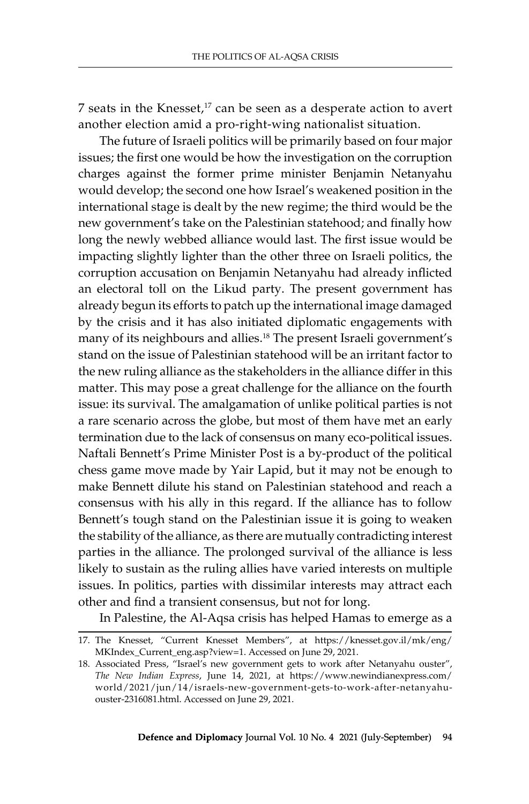7 seats in the Knesset, $17$  can be seen as a desperate action to avert another election amid a pro-right-wing nationalist situation.

The future of Israeli politics will be primarily based on four major issues; the first one would be how the investigation on the corruption charges against the former prime minister Benjamin Netanyahu would develop; the second one how Israel's weakened position in the international stage is dealt by the new regime; the third would be the new government's take on the Palestinian statehood; and finally how long the newly webbed alliance would last. The first issue would be impacting slightly lighter than the other three on Israeli politics, the corruption accusation on Benjamin Netanyahu had already inflicted an electoral toll on the Likud party. The present government has already begun its efforts to patch up the international image damaged by the crisis and it has also initiated diplomatic engagements with many of its neighbours and allies.<sup>18</sup> The present Israeli government's stand on the issue of Palestinian statehood will be an irritant factor to the new ruling alliance as the stakeholders in the alliance differ in this matter. This may pose a great challenge for the alliance on the fourth issue: its survival. The amalgamation of unlike political parties is not a rare scenario across the globe, but most of them have met an early termination due to the lack of consensus on many eco-political issues. Naftali Bennett's Prime Minister Post is a by-product of the political chess game move made by Yair Lapid, but it may not be enough to make Bennett dilute his stand on Palestinian statehood and reach a consensus with his ally in this regard. If the alliance has to follow Bennett's tough stand on the Palestinian issue it is going to weaken the stability of the alliance, as there are mutually contradicting interest parties in the alliance. The prolonged survival of the alliance is less likely to sustain as the ruling allies have varied interests on multiple issues. In politics, parties with dissimilar interests may attract each other and find a transient consensus, but not for long.

In Palestine, the Al-Aqsa crisis has helped Hamas to emerge as a

<sup>17.</sup> The Knesset, "Current Knesset Members", at https://knesset.gov.il/mk/eng/ MKIndex\_Current\_eng.asp?view=1. Accessed on June 29, 2021.

<sup>18.</sup> Associated Press, "Israel's new government gets to work after Netanyahu ouster", *The New Indian Express*, June 14, 2021, at https://www.newindianexpress.com/ world/2021/jun/14/israels-new-government-gets-to-work-after-netanyahuouster-2316081.html. Accessed on June 29, 2021.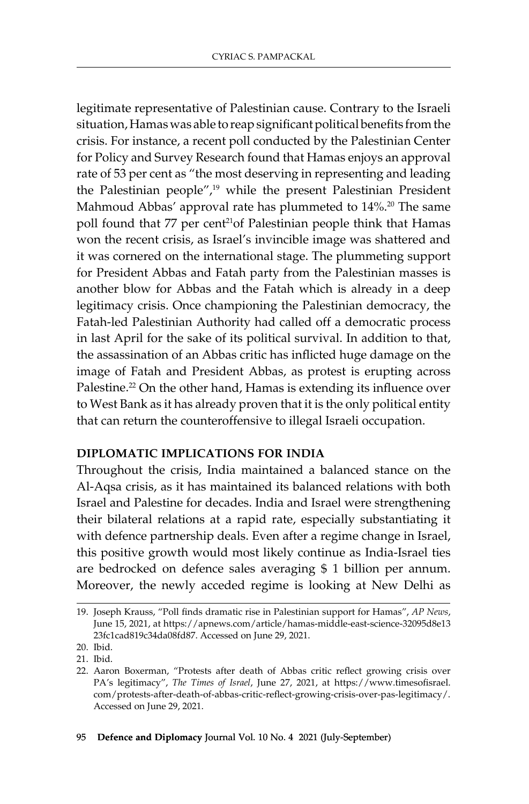legitimate representative of Palestinian cause. Contrary to the Israeli situation, Hamas was able to reap significant political benefits from the crisis. For instance, a recent poll conducted by the Palestinian Center for Policy and Survey Research found that Hamas enjoys an approval rate of 53 per cent as "the most deserving in representing and leading the Palestinian people",19 while the present Palestinian President Mahmoud Abbas' approval rate has plummeted to 14%.<sup>20</sup> The same poll found that 77 per cent<sup>21</sup>of Palestinian people think that Hamas won the recent crisis, as Israel's invincible image was shattered and it was cornered on the international stage. The plummeting support for President Abbas and Fatah party from the Palestinian masses is another blow for Abbas and the Fatah which is already in a deep legitimacy crisis. Once championing the Palestinian democracy, the Fatah-led Palestinian Authority had called off a democratic process in last April for the sake of its political survival. In addition to that, the assassination of an Abbas critic has inflicted huge damage on the image of Fatah and President Abbas, as protest is erupting across Palestine.<sup>22</sup> On the other hand, Hamas is extending its influence over to West Bank as it has already proven that it is the only political entity that can return the counteroffensive to illegal Israeli occupation.

# **Diplomatic Implications for India**

Throughout the crisis, India maintained a balanced stance on the Al-Aqsa crisis, as it has maintained its balanced relations with both Israel and Palestine for decades. India and Israel were strengthening their bilateral relations at a rapid rate, especially substantiating it with defence partnership deals. Even after a regime change in Israel, this positive growth would most likely continue as India-Israel ties are bedrocked on defence sales averaging \$ 1 billion per annum. Moreover, the newly acceded regime is looking at New Delhi as

<sup>19.</sup> Joseph Krauss, "Poll finds dramatic rise in Palestinian support for Hamas", *AP News*, June 15, 2021, at https://apnews.com/article/hamas-middle-east-science-32095d8e13 23fc1cad819c34da08fd87. Accessed on June 29, 2021.

<sup>20.</sup> Ibid.

<sup>21.</sup> Ibid.

<sup>22.</sup> Aaron Boxerman, "Protests after death of Abbas critic reflect growing crisis over PA's legitimacy", *The Times of Israel*, June 27, 2021, at https://www.timesofisrael. com/protests-after-death-of-abbas-critic-reflect-growing-crisis-over-pas-legitimacy/. Accessed on June 29, 2021.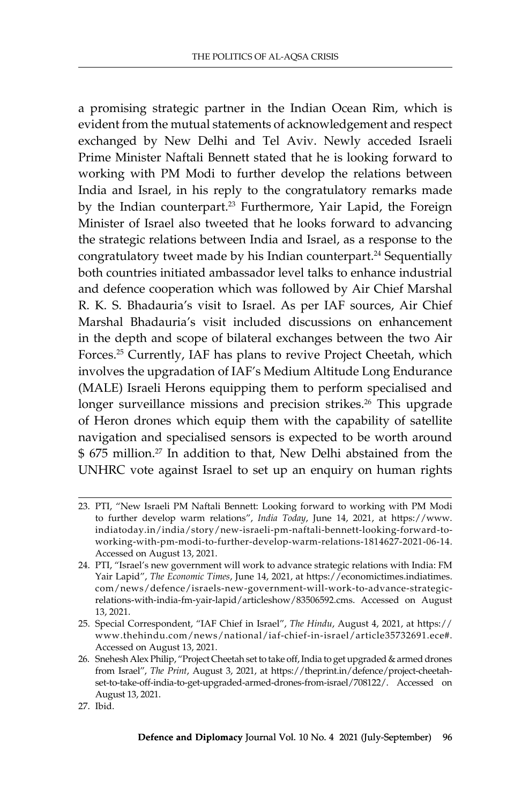a promising strategic partner in the Indian Ocean Rim, which is evident from the mutual statements of acknowledgement and respect exchanged by New Delhi and Tel Aviv. Newly acceded Israeli Prime Minister Naftali Bennett stated that he is looking forward to working with PM Modi to further develop the relations between India and Israel, in his reply to the congratulatory remarks made by the Indian counterpart.<sup>23</sup> Furthermore, Yair Lapid, the Foreign Minister of Israel also tweeted that he looks forward to advancing the strategic relations between India and Israel, as a response to the congratulatory tweet made by his Indian counterpart.<sup>24</sup> Sequentially both countries initiated ambassador level talks to enhance industrial and defence cooperation which was followed by Air Chief Marshal R. K. S. Bhadauria's visit to Israel. As per IAF sources, Air Chief Marshal Bhadauria's visit included discussions on enhancement in the depth and scope of bilateral exchanges between the two Air Forces.25 Currently, IAF has plans to revive Project Cheetah, which involves the upgradation of IAF's Medium Altitude Long Endurance (MALE) Israeli Herons equipping them to perform specialised and longer surveillance missions and precision strikes.<sup>26</sup> This upgrade of Heron drones which equip them with the capability of satellite navigation and specialised sensors is expected to be worth around \$ 675 million.<sup>27</sup> In addition to that, New Delhi abstained from the UNHRC vote against Israel to set up an enquiry on human rights

<sup>23.</sup> PTI, "New Israeli PM Naftali Bennett: Looking forward to working with PM Modi to further develop warm relations", *India Today*, June 14, 2021, at https://www. indiatoday.in/india/story/new-israeli-pm-naftali-bennett-looking-forward-toworking-with-pm-modi-to-further-develop-warm-relations-1814627-2021-06-14. Accessed on August 13, 2021.

<sup>24.</sup> PTI, "Israel's new government will work to advance strategic relations with India: FM Yair Lapid", *The Economic Times*, June 14, 2021, at https://economictimes.indiatimes. com/news/defence/israels-new-government-will-work-to-advance-strategicrelations-with-india-fm-yair-lapid/articleshow/83506592.cms. Accessed on August 13, 2021.

<sup>25.</sup> Special Correspondent, "IAF Chief in Israel", *The Hindu*, August 4, 2021, at https:// www.thehindu.com/news/national/iaf-chief-in-israel/article35732691.ece#. Accessed on August 13, 2021.

<sup>26.</sup> Snehesh Alex Philip, "Project Cheetah set to take off, India to get upgraded & armed drones from Israel", *The Print*, August 3, 2021, at https://theprint.in/defence/project-cheetahset-to-take-off-india-to-get-upgraded-armed-drones-from-israel/708122/. Accessed on August 13, 2021.

<sup>27.</sup> Ibid.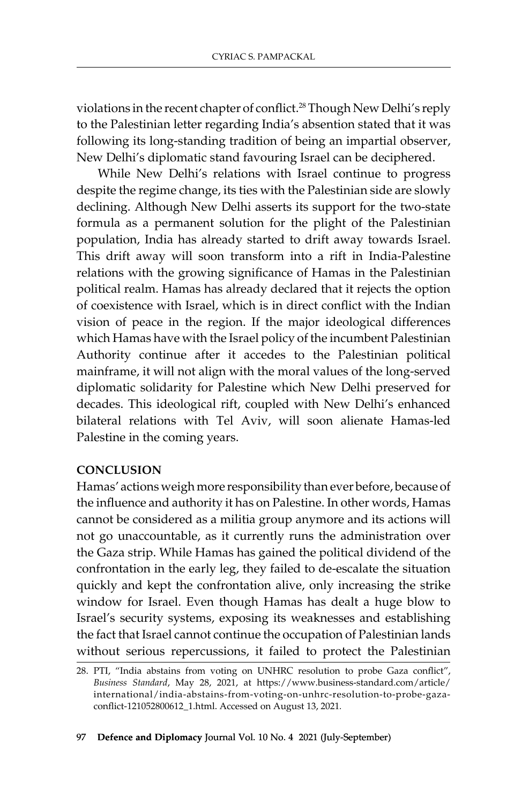violations in the recent chapter of conflict.<sup>28</sup> Though New Delhi's reply to the Palestinian letter regarding India's absention stated that it was following its long-standing tradition of being an impartial observer, New Delhi's diplomatic stand favouring Israel can be deciphered.

While New Delhi's relations with Israel continue to progress despite the regime change, its ties with the Palestinian side are slowly declining. Although New Delhi asserts its support for the two-state formula as a permanent solution for the plight of the Palestinian population, India has already started to drift away towards Israel. This drift away will soon transform into a rift in India-Palestine relations with the growing significance of Hamas in the Palestinian political realm. Hamas has already declared that it rejects the option of coexistence with Israel, which is in direct conflict with the Indian vision of peace in the region. If the major ideological differences which Hamas have with the Israel policy of the incumbent Palestinian Authority continue after it accedes to the Palestinian political mainframe, it will not align with the moral values of the long-served diplomatic solidarity for Palestine which New Delhi preserved for decades. This ideological rift, coupled with New Delhi's enhanced bilateral relations with Tel Aviv, will soon alienate Hamas-led Palestine in the coming years.

# **Conclusion**

Hamas' actions weigh more responsibility than ever before, because of the influence and authority it has on Palestine. In other words, Hamas cannot be considered as a militia group anymore and its actions will not go unaccountable, as it currently runs the administration over the Gaza strip. While Hamas has gained the political dividend of the confrontation in the early leg, they failed to de-escalate the situation quickly and kept the confrontation alive, only increasing the strike window for Israel. Even though Hamas has dealt a huge blow to Israel's security systems, exposing its weaknesses and establishing the fact that Israel cannot continue the occupation of Palestinian lands without serious repercussions, it failed to protect the Palestinian

<sup>28.</sup> PTI, "India abstains from voting on UNHRC resolution to probe Gaza conflict", *Business Standard*, May 28, 2021, at https://www.business-standard.com/article/ international/india-abstains-from-voting-on-unhrc-resolution-to-probe-gazaconflict-121052800612\_1.html. Accessed on August 13, 2021*.*